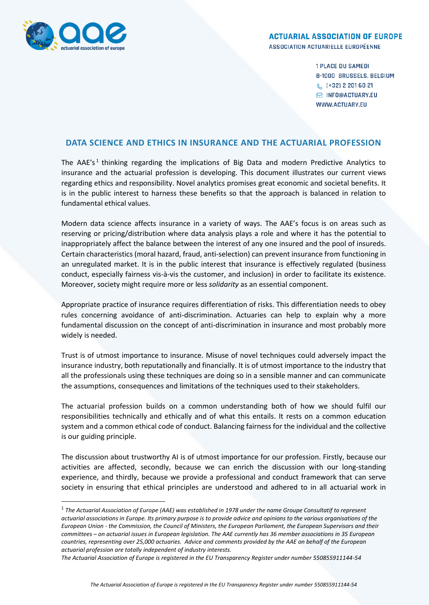

**.** 

## **ACTUARIAL ASSOCIATION OF EUROPE**

ASSOCIATION ACTUARIELLE EUROPÉENNE

**1 PLACE DU SAMEDI B-1000 BRUSSELS, BELGIUM** & (+32) 2 201 60 21 **S INFO@ACTUARY.EU** WWW.ACTUARY.EU

## **DATA SCIENCE AND ETHICS IN INSURANCE AND THE ACTUARIAL PROFESSION**

The AAE's<sup>1</sup> thinking regarding the implications of Big Data and modern Predictive Analytics to insurance and the actuarial profession is developing. This document illustrates our current views regarding ethics and responsibility. Novel analytics promises great economic and societal benefits. It is in the public interest to harness these benefits so that the approach is balanced in relation to fundamental ethical values.

Modern data science affects insurance in a variety of ways. The AAE's focus is on areas such as reserving or pricing/distribution where data analysis plays a role and where it has the potential to inappropriately affect the balance between the interest of any one insured and the pool of insureds. Certain characteristics (moral hazard, fraud, anti-selection) can prevent insurance from functioning in an unregulated market. It is in the public interest that insurance is effectively regulated (business conduct, especially fairness vis-à-vis the customer, and inclusion) in order to facilitate its existence. Moreover, society might require more or less *solidarity* as an essential component.

Appropriate practice of insurance requires differentiation of risks. This differentiation needs to obey rules concerning avoidance of anti-discrimination. Actuaries can help to explain why a more fundamental discussion on the concept of anti-discrimination in insurance and most probably more widely is needed.

Trust is of utmost importance to insurance. Misuse of novel techniques could adversely impact the insurance industry, both reputationally and financially. It is of utmost importance to the industry that all the professionals using these techniques are doing so in a sensible manner and can communicate the assumptions, consequences and limitations of the techniques used to their stakeholders.

The actuarial profession builds on a common understanding both of how we should fulfil our responsibilities technically and ethically and of what this entails. It rests on a common education system and a common ethical code of conduct. Balancing fairness for the individual and the collective is our guiding principle.

The discussion about trustworthy AI is of utmost importance for our profession. Firstly, because our activities are affected, secondly, because we can enrich the discussion with our long-standing experience, and thirdly, because we provide a professional and conduct framework that can serve society in ensuring that ethical principles are understood and adhered to in all actuarial work in

<sup>&</sup>lt;sup>1</sup> The Actuarial Association of Europe (AAE) was established in 1978 under the name Groupe Consultatif to represent *actuarial associations in Europe. Its primary purpose is to provide advice and opinions to the various organisations of the European Union - the Commission, the Council of Ministers, the European Parliament, the European Supervisors and their committees – on actuarial issues in European legislation. The AAE currently has 36 member associations in 35 European countries, representing over 25,000 actuaries. Advice and comments provided by the AAE on behalf of the European actuarial profession are totally independent of industry interests.*

*The Actuarial Association of Europe is registered in the EU Transparency Register under number 550855911144-54*